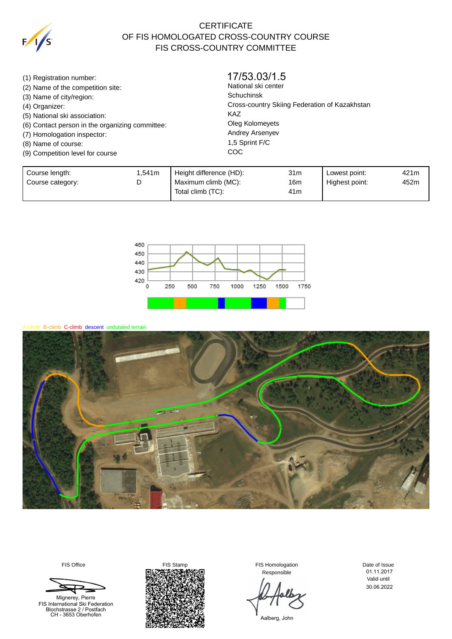

## **CERTIFICATE** OF FIS HOMOLOGATED CROSS-COUNTRY COURSE FIS CROSS-COUNTRY COMMITTEE

(1) Registration number: (2) Name of the competition site: (3) Name of city/region: (4) Organizer: (5) National ski association: (6) Contact person in the organizing committee: (7) Homologation inspector: (8) Name of course: (9) Competition level for course National ski center Schuchinsk Cross-country Skiing Federation of Kazakhstan KAZ Oleg Kolomeyets Andrey Arsenyev 1,5 Sprint F/C **COC** 17/53.03/1.5

| Course length:   | .541m | Height difference (HD): | 31m | Lowest point:  | 421m |
|------------------|-------|-------------------------|-----|----------------|------|
| Course category: | ◡     | Maximum climb (MC):     | 16m | Highest point: | 452m |
|                  |       | Total climb (TC):       | 41m |                |      |



mb B-climb C-climb descent undulated terrain



Mignerey, Pierre



Responsible

Date of Issue Valid until 01.11.2017 30.06.2022